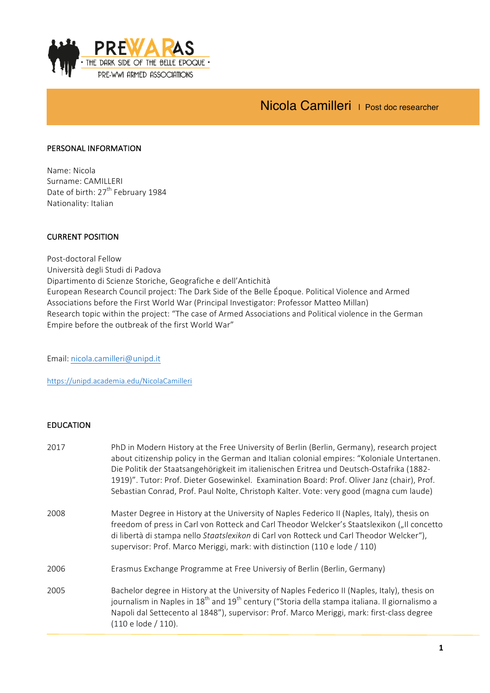

# Nicola Camilleri | Post doc researcher

#### PERSONAL INFORMATION

Name: Nicola Surname: CAMILLERI Date of birth: 27<sup>th</sup> February 1984 Nationality: Italian

#### **CURRENT POSITION**

Post-doctoral Fellow Università degli Studi di Padova Dipartimento di Scienze Storiche, Geografiche e dell'Antichità European Research Council project: The Dark Side of the Belle Époque. Political Violence and Armed Associations before the First World War (Principal Investigator: Professor Matteo Millan) Research topic within the project: "The case of Armed Associations and Political violence in the German Empire before the outbreak of the first World War"

Email: nicola.camilleri@unipd.it

https://unipd.academia.edu/NicolaCamilleri

#### EDUCATION

| 2017 | PhD in Modern History at the Free University of Berlin (Berlin, Germany), research project<br>about citizenship policy in the German and Italian colonial empires: "Koloniale Untertanen.<br>Die Politik der Staatsangehörigkeit im italienischen Eritrea und Deutsch-Ostafrika (1882-<br>1919)". Tutor: Prof. Dieter Gosewinkel. Examination Board: Prof. Oliver Janz (chair), Prof.<br>Sebastian Conrad, Prof. Paul Nolte, Christoph Kalter. Vote: very good (magna cum laude) |
|------|----------------------------------------------------------------------------------------------------------------------------------------------------------------------------------------------------------------------------------------------------------------------------------------------------------------------------------------------------------------------------------------------------------------------------------------------------------------------------------|
| 2008 | Master Degree in History at the University of Naples Federico II (Naples, Italy), thesis on<br>freedom of press in Carl von Rotteck and Carl Theodor Welcker's Staatslexikon ("Il concetto<br>di libertà di stampa nello Staatslexikon di Carl von Rotteck und Carl Theodor Welcker"),<br>supervisor: Prof. Marco Meriggi, mark: with distinction (110 e lode / 110)                                                                                                             |
| 2006 | Erasmus Exchange Programme at Free Universiy of Berlin (Berlin, Germany)                                                                                                                                                                                                                                                                                                                                                                                                         |
| 2005 | Bachelor degree in History at the University of Naples Federico II (Naples, Italy), thesis on<br>journalism in Naples in 18 <sup>th</sup> and 19 <sup>th</sup> century ("Storia della stampa italiana. Il giornalismo a<br>Napoli dal Settecento al 1848"), supervisor: Prof. Marco Meriggi, mark: first-class degree<br>(110 e lode / 110).                                                                                                                                     |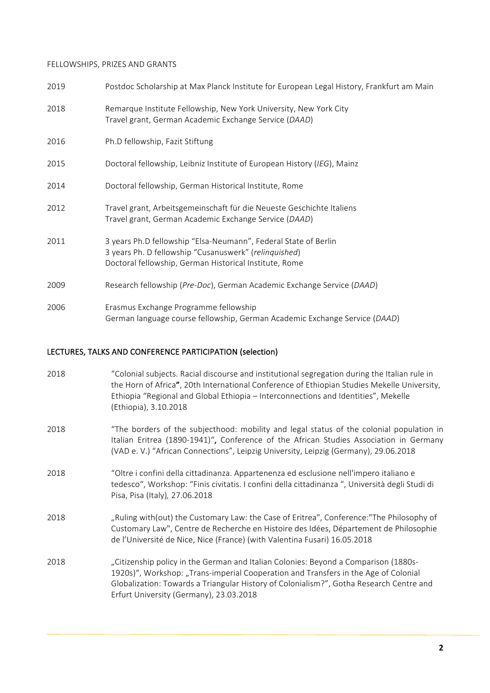## FELLOWSHIPS, PRIZES AND GRANTS

| 2019 | Postdoc Scholarship at Max Planck Institute for European Legal History, Frankfurt am Main                                                                                          |
|------|------------------------------------------------------------------------------------------------------------------------------------------------------------------------------------|
| 2018 | Remarque Institute Fellowship, New York University, New York City<br>Travel grant, German Academic Exchange Service (DAAD)                                                         |
| 2016 | Ph.D fellowship, Fazit Stiftung                                                                                                                                                    |
| 2015 | Doctoral fellowship, Leibniz Institute of European History (IEG), Mainz                                                                                                            |
| 2014 | Doctoral fellowship, German Historical Institute, Rome                                                                                                                             |
| 2012 | Travel grant, Arbeitsgemeinschaft für die Neueste Geschichte Italiens<br>Travel grant, German Academic Exchange Service (DAAD)                                                     |
| 2011 | 3 years Ph.D fellowship "Elsa-Neumann", Federal State of Berlin<br>3 years Ph. D fellowship "Cusanuswerk" (relinquished)<br>Doctoral fellowship, German Historical Institute, Rome |
| 2009 | Research fellowship (Pre-Doc), German Academic Exchange Service (DAAD)                                                                                                             |
| 2006 | Erasmus Exchange Programme fellowship<br>German language course fellowship, German Academic Exchange Service (DAAD)                                                                |

#### LECTURES, TALKS AND CONFERENCE PARTICIPATION (selection)

| 2018 | "Colonial subjects. Racial discourse and institutional segregation during the Italian rule in<br>the Horn of Africa", 20th International Conference of Ethiopian Studies Mekelle University,<br>Ethiopia "Regional and Global Ethiopia - Interconnections and Identities", Mekelle<br>(Ethiopia), 3.10.2018      |
|------|------------------------------------------------------------------------------------------------------------------------------------------------------------------------------------------------------------------------------------------------------------------------------------------------------------------|
| 2018 | "The borders of the subjecthood: mobility and legal status of the colonial population in<br>Italian Eritrea (1890-1941)", Conference of the African Studies Association in Germany<br>(VAD e. V.) "African Connections", Leipzig University, Leipzig (Germany), 29.06.2018                                       |
| 2018 | "Oltre i confini della cittadinanza. Appartenenza ed esclusione nell'impero italiano e<br>tedesco", Workshop: "Finis civitatis. I confini della cittadinanza ", Università degli Studi di<br>Pisa, Pisa (Italy), 27.06.2018                                                                                      |
| 2018 | "Ruling with(out) the Customary Law: the Case of Eritrea", Conference: "The Philosophy of<br>Customary Law", Centre de Recherche en Histoire des Idées, Département de Philosophie<br>de l'Université de Nice, Nice (France) (with Valentina Fusari) 16.05.2018                                                  |
| 2018 | "Citizenship policy in the German and Italian Colonies: Beyond a Comparison (1880s-<br>1920s)", Workshop: "Trans-imperial Cooperation and Transfers in the Age of Colonial<br>Globalization: Towards a Triangular History of Colonialism?", Gotha Research Centre and<br>Erfurt University (Germany), 23.03.2018 |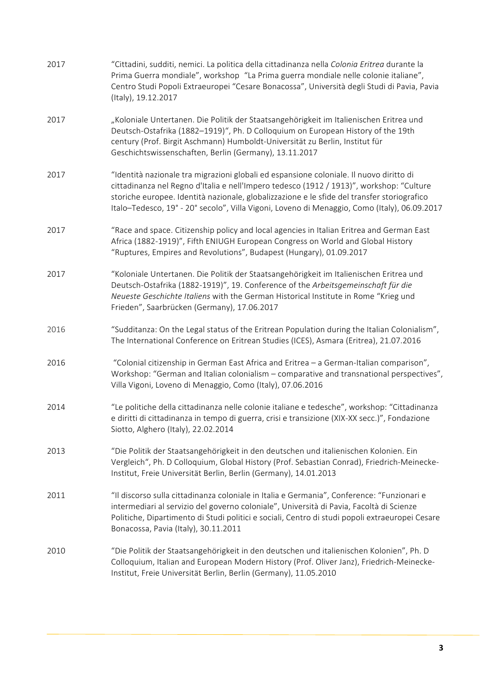| 2017 | "Cittadini, sudditi, nemici. La politica della cittadinanza nella Colonia Eritrea durante la<br>Prima Guerra mondiale", workshop "La Prima guerra mondiale nelle colonie italiane",<br>Centro Studi Popoli Extraeuropei "Cesare Bonacossa", Università degli Studi di Pavia, Pavia<br>(Italy), 19.12.2017                                                                          |
|------|------------------------------------------------------------------------------------------------------------------------------------------------------------------------------------------------------------------------------------------------------------------------------------------------------------------------------------------------------------------------------------|
| 2017 | "Koloniale Untertanen. Die Politik der Staatsangehörigkeit im Italienischen Eritrea und<br>Deutsch-Ostafrika (1882-1919)", Ph. D Colloquium on European History of the 19th<br>century (Prof. Birgit Aschmann) Humboldt-Universität zu Berlin, Institut für<br>Geschichtswissenschaften, Berlin (Germany), 13.11.2017                                                              |
| 2017 | "Identità nazionale tra migrazioni globali ed espansione coloniale. Il nuovo diritto di<br>cittadinanza nel Regno d'Italia e nell'Impero tedesco (1912 / 1913)", workshop: "Culture<br>storiche europee. Identità nazionale, globalizzazione e le sfide del transfer storiografico<br>Italo-Tedesco, 19° - 20° secolo", Villa Vigoni, Loveno di Menaggio, Como (Italy), 06.09.2017 |
| 2017 | "Race and space. Citizenship policy and local agencies in Italian Eritrea and German East<br>Africa (1882-1919)", Fifth ENIUGH European Congress on World and Global History<br>"Ruptures, Empires and Revolutions", Budapest (Hungary), 01.09.2017                                                                                                                                |
| 2017 | "Koloniale Untertanen. Die Politik der Staatsangehörigkeit im Italienischen Eritrea und<br>Deutsch-Ostafrika (1882-1919)", 19. Conference of the Arbeitsgemeinschaft für die<br>Neueste Geschichte Italiens with the German Historical Institute in Rome "Krieg und<br>Frieden", Saarbrücken (Germany), 17.06.2017                                                                 |
| 2016 | "Sudditanza: On the Legal status of the Eritrean Population during the Italian Colonialism",<br>The International Conference on Eritrean Studies (ICES), Asmara (Eritrea), 21.07.2016                                                                                                                                                                                              |
| 2016 | "Colonial citizenship in German East Africa and Eritrea - a German-Italian comparison",<br>Workshop: "German and Italian colonialism - comparative and transnational perspectives",<br>Villa Vigoni, Loveno di Menaggio, Como (Italy), 07.06.2016                                                                                                                                  |
| 2014 | "Le politiche della cittadinanza nelle colonie italiane e tedesche", workshop: "Cittadinanza<br>e diritti di cittadinanza in tempo di guerra, crisi e transizione (XIX-XX secc.)", Fondazione<br>Siotto, Alghero (Italy), 22.02.2014                                                                                                                                               |
| 2013 | "Die Politik der Staatsangehörigkeit in den deutschen und italienischen Kolonien. Ein<br>Vergleich", Ph. D Colloquium, Global History (Prof. Sebastian Conrad), Friedrich-Meinecke-<br>Institut, Freie Universität Berlin, Berlin (Germany), 14.01.2013                                                                                                                            |
| 2011 | "Il discorso sulla cittadinanza coloniale in Italia e Germania", Conference: "Funzionari e<br>intermediari al servizio del governo coloniale", Università di Pavia, Facoltà di Scienze<br>Politiche, Dipartimento di Studi politici e sociali, Centro di studi popoli extraeuropei Cesare<br>Bonacossa, Pavia (Italy), 30.11.2011                                                  |
| 2010 | "Die Politik der Staatsangehörigkeit in den deutschen und italienischen Kolonien", Ph. D<br>Colloquium, Italian and European Modern History (Prof. Oliver Janz), Friedrich-Meinecke-<br>Institut, Freie Universität Berlin, Berlin (Germany), 11.05.2010                                                                                                                           |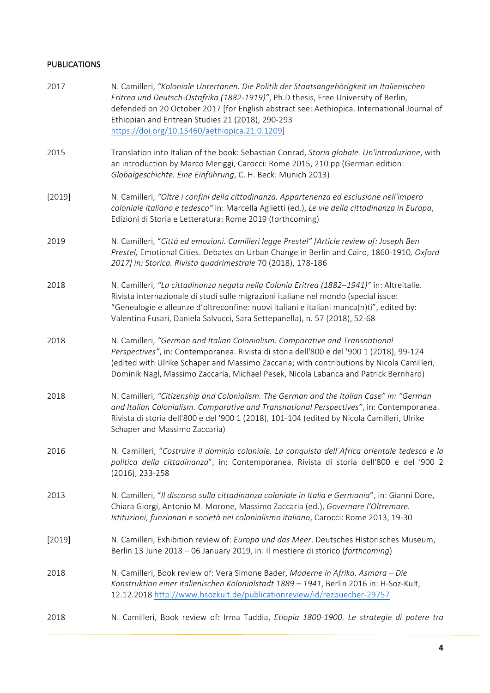### PUBLICATIONS

| 2017   | N. Camilleri, "Koloniale Untertanen. Die Politik der Staatsangehörigkeit im Italienischen<br>Eritrea und Deutsch-Ostafrika (1882-1919)", Ph.D thesis, Free University of Berlin,<br>defended on 20 October 2017 [for English abstract see: Aethiopica. International Journal of<br>Ethiopian and Eritrean Studies 21 (2018), 290-293<br>https://doi.org/10.15460/aethiopica.21.0.1209] |
|--------|----------------------------------------------------------------------------------------------------------------------------------------------------------------------------------------------------------------------------------------------------------------------------------------------------------------------------------------------------------------------------------------|
| 2015   | Translation into Italian of the book: Sebastian Conrad, Storia globale. Un'introduzione, with<br>an introduction by Marco Meriggi, Carocci: Rome 2015, 210 pp (German edition:<br>Globalgeschichte. Eine Einführung, C. H. Beck: Munich 2013)                                                                                                                                          |
| [2019] | N. Camilleri, "Oltre i confini della cittadinanza. Appartenenza ed esclusione nell'impero<br>coloniale italiano e tedesco" in: Marcella Aglietti (ed.), Le vie della cittadinanza in Europa,<br>Edizioni di Storia e Letteratura: Rome 2019 (forthcoming)                                                                                                                              |
| 2019   | N. Camilleri, "Città ed emozioni. Camilleri legge Prestel" [Article review of: Joseph Ben<br>Prestel, Emotional Cities. Debates on Urban Change in Berlin and Cairo, 1860-1910, Oxford<br>2017] in: Storica. Rivista quadrimestrale 70 (2018), 178-186                                                                                                                                 |
| 2018   | N. Camilleri, "La cittadinanza negata nella Colonia Eritrea (1882-1941)" in: Altreitalie.<br>Rivista internazionale di studi sulle migrazioni italiane nel mondo (special issue:<br>"Genealogie e alleanze d'oltreconfine: nuovi italiani e italiani manca(n)ti", edited by:<br>Valentina Fusari, Daniela Salvucci, Sara Settepanella), n. 57 (2018), 52-68                            |
| 2018   | N. Camilleri, "German and Italian Colonialism. Comparative and Transnational<br>Perspectives", in: Contemporanea. Rivista di storia dell'800 e del '900 1 (2018), 99-124<br>(edited with Ulrike Schaper and Massimo Zaccaria; with contributions by Nicola Camilleri,<br>Dominik Nagl, Massimo Zaccaria, Michael Pesek, Nicola Labanca and Patrick Bernhard)                           |
| 2018   | N. Camilleri, "Citizenship and Colonialism. The German and the Italian Case" in: "German<br>and Italian Colonialism. Comparative and Transnational Perspectives", in: Contemporanea.<br>Rivista di storia dell'800 e del '900 1 (2018), 101-104 (edited by Nicola Camilleri, Ulrike<br>Schaper and Massimo Zaccaria)                                                                   |
| 2016   | N. Camilleri, "Costruire il dominio coloniale. La conquista dell'Africa orientale tedesca e la<br>politica della cittadinanza", in: Contemporanea. Rivista di storia dell'800 e del '900 2<br>(2016), 233-258                                                                                                                                                                          |
| 2013   | N. Camilleri, "Il discorso sulla cittadinanza coloniale in Italia e Germania", in: Gianni Dore,<br>Chiara Giorgi, Antonio M. Morone, Massimo Zaccaria (ed.), Governare l'Oltremare.<br>Istituzioni, funzionari e società nel colonialismo italiano, Carocci: Rome 2013, 19-30                                                                                                          |
| [2019] | N. Camilleri, Exhibition review of: Europa und das Meer. Deutsches Historisches Museum,<br>Berlin 13 June 2018 - 06 January 2019, in: Il mestiere di storico (forthcoming)                                                                                                                                                                                                             |
| 2018   | N. Camilleri, Book review of: Vera Simone Bader, Moderne in Afrika. Asmara - Die<br>Konstruktion einer italienischen Kolonialstadt 1889 - 1941, Berlin 2016 in: H-Soz-Kult,<br>12.12.2018 http://www.hsozkult.de/publicationreview/id/rezbuecher-29757                                                                                                                                 |
| 2018   | N. Camilleri, Book review of: Irma Taddia, Etiopia 1800-1900. Le strategie di potere tra                                                                                                                                                                                                                                                                                               |